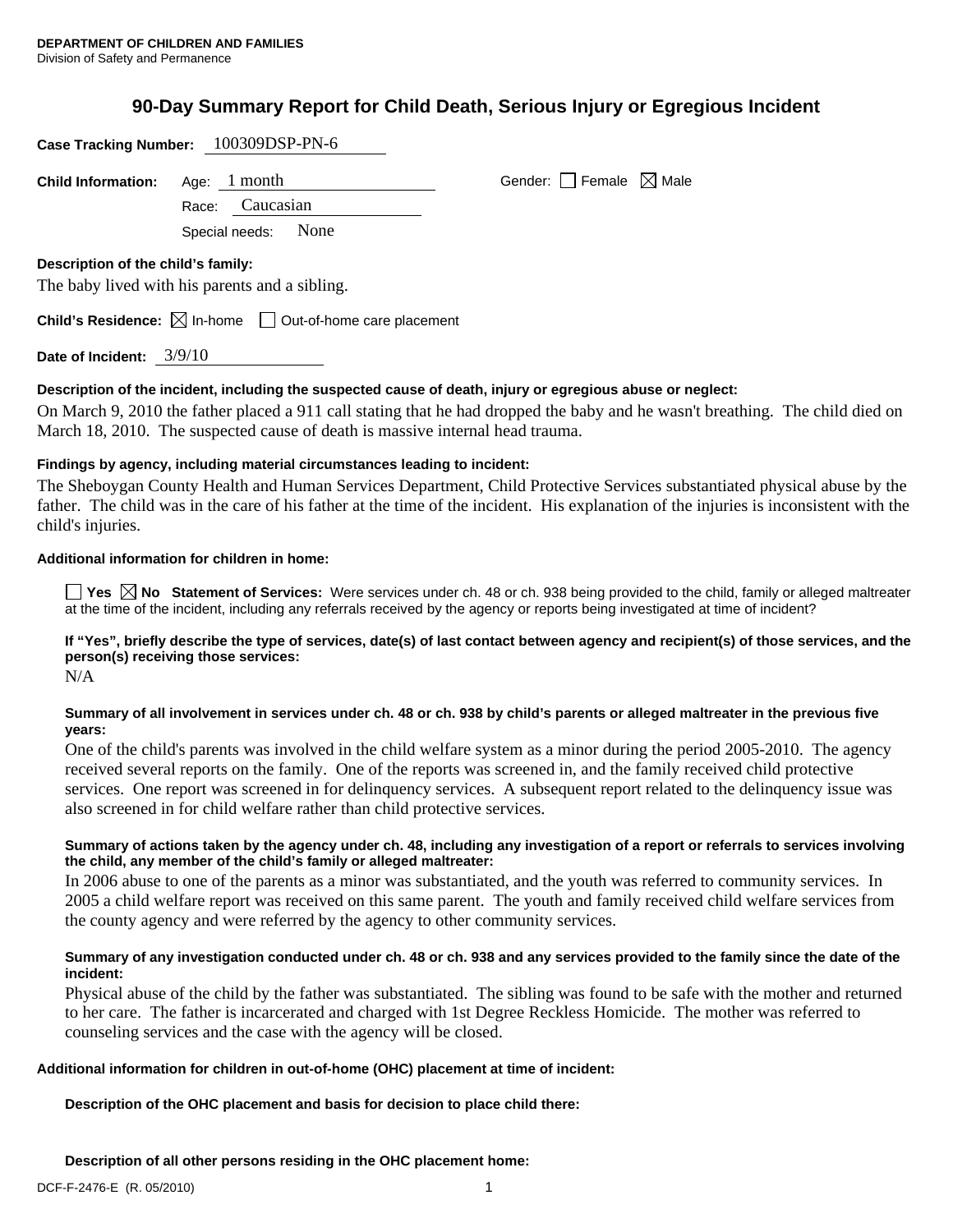# **90-Day Summary Report for Child Death, Serious Injury or Egregious Incident**

| <b>Case Tracking Number:</b>       | 100309DSP-PN-6                                                                  |                                 |
|------------------------------------|---------------------------------------------------------------------------------|---------------------------------|
| <b>Child Information:</b>          | Age: $1$ month                                                                  | Gender: Female $\boxtimes$ Male |
|                                    | Caucasian<br>Race:                                                              |                                 |
|                                    | None<br>Special needs:                                                          |                                 |
| Description of the child's family: |                                                                                 |                                 |
|                                    | The baby lived with his parents and a sibling.                                  |                                 |
|                                    | <b>Child's Residence:</b> $\boxtimes$ In-home $\Box$ Out-of-home care placement |                                 |

**Date of Incident:** 3/9/10

# **Description of the incident, including the suspected cause of death, injury or egregious abuse or neglect:**

On March 9, 2010 the father placed a 911 call stating that he had dropped the baby and he wasn't breathing. The child died on March 18, 2010. The suspected cause of death is massive internal head trauma.

# **Findings by agency, including material circumstances leading to incident:**

The Sheboygan County Health and Human Services Department, Child Protective Services substantiated physical abuse by the father. The child was in the care of his father at the time of the incident. His explanation of the injuries is inconsistent with the child's injuries.

#### **Additional information for children in home:**

■ Yes **No** Statement of Services: Were services under ch. 48 or ch. 938 being provided to the child, family or alleged maltreater at the time of the incident, including any referrals received by the agency or reports being investigated at time of incident?

**If "Yes", briefly describe the type of services, date(s) of last contact between agency and recipient(s) of those services, and the person(s) receiving those services:** 

N/A

# **Summary of all involvement in services under ch. 48 or ch. 938 by child's parents or alleged maltreater in the previous five years:**

One of the child's parents was involved in the child welfare system as a minor during the period 2005-2010. The agency received several reports on the family. One of the reports was screened in, and the family received child protective services. One report was screened in for delinquency services. A subsequent report related to the delinquency issue was also screened in for child welfare rather than child protective services.

#### **Summary of actions taken by the agency under ch. 48, including any investigation of a report or referrals to services involving the child, any member of the child's family or alleged maltreater:**

In 2006 abuse to one of the parents as a minor was substantiated, and the youth was referred to community services. In 2005 a child welfare report was received on this same parent. The youth and family received child welfare services from the county agency and were referred by the agency to other community services.

# **Summary of any investigation conducted under ch. 48 or ch. 938 and any services provided to the family since the date of the incident:**

Physical abuse of the child by the father was substantiated. The sibling was found to be safe with the mother and returned to her care. The father is incarcerated and charged with 1st Degree Reckless Homicide. The mother was referred to counseling services and the case with the agency will be closed.

# **Additional information for children in out-of-home (OHC) placement at time of incident:**

# **Description of the OHC placement and basis for decision to place child there:**

**Description of all other persons residing in the OHC placement home:**